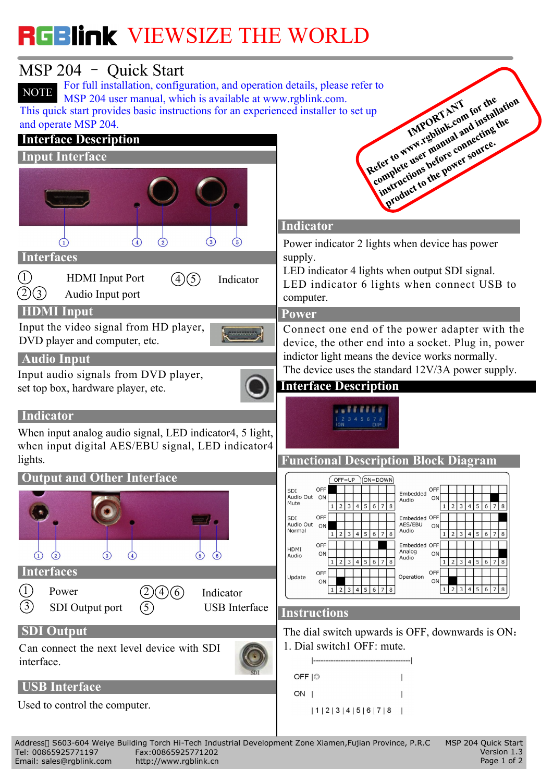